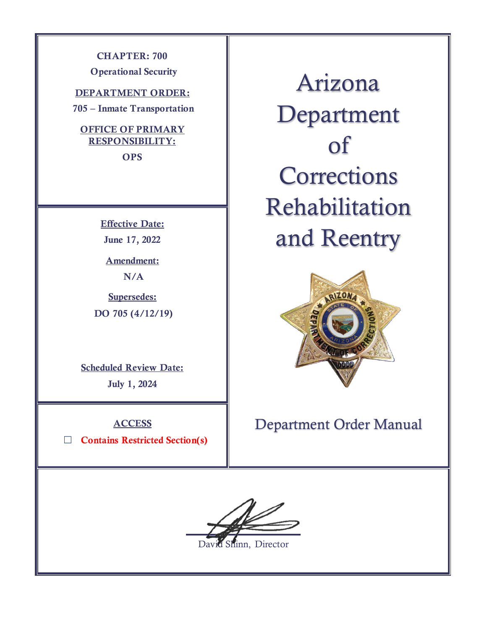**CHAPTER: 700**

**Operational Security** 

**DEPARTMENT ORDER:**

**705 – Inmate Transportation**

### **OFFICE OF PRIMARY RESPONSIBILITY:**

**OPS**

**Effective Date: June 17, 2022**

**Amendment: N/A**

**Supersedes: DO 705 (4/12/19)**

**Scheduled Review Date:** 

**July 1, 2024**

**ACCESS**

☐ **Contains Restricted Section(s)**

Arizona Department of **Corrections** Rehabilitation and Reentry



# Department Order Manual



David Shinn, Director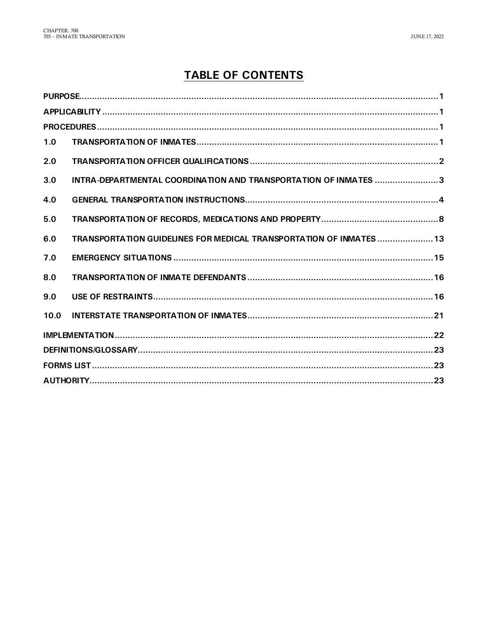# **TABLE OF CONTENTS**

| 1.0  |                                                                     |  |
|------|---------------------------------------------------------------------|--|
| 2.0  |                                                                     |  |
| 3.0  | INTRA-DEPARTMENTAL COORDINATION AND TRANSPORTATION OF INMATES 3     |  |
| 4.0  |                                                                     |  |
| 5.0  |                                                                     |  |
| 6.0  | TRANSPORTATION GUIDELINES FOR MEDICAL TRANSPORTATION OF INMATES  13 |  |
| 7.0  |                                                                     |  |
| 8.0  |                                                                     |  |
| 9.0  |                                                                     |  |
| 10.0 |                                                                     |  |
|      |                                                                     |  |
|      |                                                                     |  |
|      |                                                                     |  |
|      |                                                                     |  |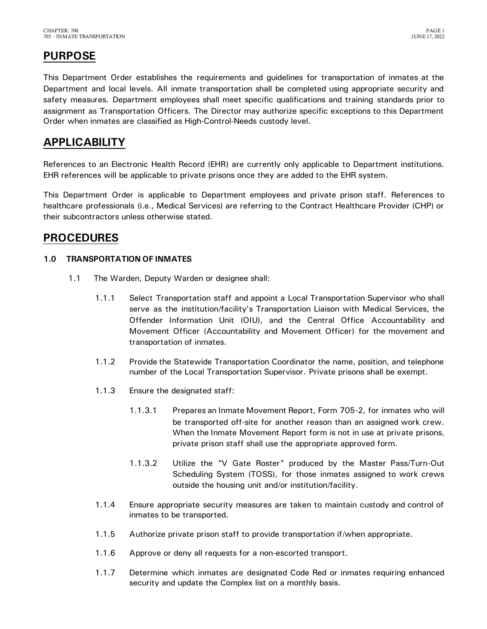# <span id="page-2-0"></span>**PURPOSE**

This Department Order establishes the requirements and guidelines for transportation of inmates at the Department and local levels. All inmate transportation shall be completed using appropriate security and safety measures. Department employees shall meet specific qualifications and training standards prior to assignment as Transportation Officers. The Director may authorize specific exceptions to this Department Order when inmates are classified as High-Control-Needs custody level.

### <span id="page-2-1"></span>**APPLICABILITY**

References to an Electronic Health Record (EHR) are currently only applicable to Department institutions. EHR references will be applicable to private prisons once they are added to the EHR system.

This Department Order is applicable to Department employees and private prison staff. References to healthcare professionals (i.e., Medical Services) are referring to the Contract Healthcare Provider (CHP) or their subcontractors unless otherwise stated.

### <span id="page-2-2"></span>**PROCEDURES**

#### <span id="page-2-3"></span>**1.0 TRANSPORTATION OF INMATES**

- 1.1 The Warden, Deputy Warden or designee shall:
	- 1.1.1 Select Transportation staff and appoint a Local Transportation Supervisor who shall serve as the institution/facility's Transportation Liaison with Medical Services, the Offender Information Unit (OIU), and the Central Office Accountability and Movement Officer (Accountability and Movement Officer) for the movement and transportation of inmates.
	- 1.1.2 Provide the Statewide Transportation Coordinator the name, position, and telephone number of the Local Transportation Supervisor. Private prisons shall be exempt.
	- 1.1.3 Ensure the designated staff:
		- 1.1.3.1 Prepares an Inmate Movement Report, Form 705-2, for inmates who will be transported off-site for another reason than an assigned work crew. When the Inmate Movement Report form is not in use at private prisons, private prison staff shall use the appropriate approved form.
		- 1.1.3.2 Utilize the "V Gate Roster" produced by the Master Pass/Turn-Out Scheduling System (TOSS), for those inmates assigned to work crews outside the housing unit and/or institution/facility.
	- 1.1.4 Ensure appropriate security measures are taken to maintain custody and control of inmates to be transported.
	- 1.1.5 Authorize private prison staff to provide transportation if/when appropriate.
	- 1.1.6 Approve or deny all requests for a non-escorted transport.
	- 1.1.7 Determine which inmates are designated Code Red or inmates requiring enhanced security and update the Complex list on a monthly basis.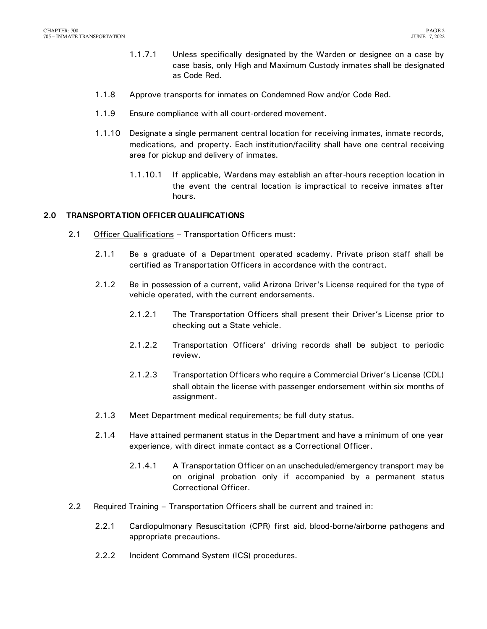- 1.1.7.1 Unless specifically designated by the Warden or designee on a case by case basis, only High and Maximum Custody inmates shall be designated as Code Red.
- 1.1.8 Approve transports for inmates on Condemned Row and/or Code Red.
- 1.1.9 Ensure compliance with all court-ordered movement.
- 1.1.10 Designate a single permanent central location for receiving inmates, inmate records, medications, and property. Each institution/facility shall have one central receiving area for pickup and delivery of inmates.
	- 1.1.10.1 If applicable, Wardens may establish an after-hours reception location in the event the central location is impractical to receive inmates after hours.

#### <span id="page-3-0"></span>**2.0 TRANSPORTATION OFFICER QUALIFICATIONS**

- 2.1 Officer Qualifications Transportation Officers must:
	- 2.1.1 Be a graduate of a Department operated academy. Private prison staff shall be certified as Transportation Officers in accordance with the contract.
	- 2.1.2 Be in possession of a current, valid Arizona Driver's License required for the type of vehicle operated, with the current endorsements.
		- 2.1.2.1 The Transportation Officers shall present their Driver's License prior to checking out a State vehicle.
		- 2.1.2.2 Transportation Officers' driving records shall be subject to periodic review.
		- 2.1.2.3 Transportation Officers who require a Commercial Driver's License (CDL) shall obtain the license with passenger endorsement within six months of assignment.
	- 2.1.3 Meet Department medical requirements; be full duty status.
	- 2.1.4 Have attained permanent status in the Department and have a minimum of one year experience, with direct inmate contact as a Correctional Officer.
		- 2.1.4.1 A Transportation Officer on an unscheduled/emergency transport may be on original probation only if accompanied by a permanent status Correctional Officer.
- 2.2 Required Training Transportation Officers shall be current and trained in:
	- 2.2.1 Cardiopulmonary Resuscitation (CPR) first aid, blood-borne/airborne pathogens and appropriate precautions.
	- 2.2.2 Incident Command System (ICS) procedures.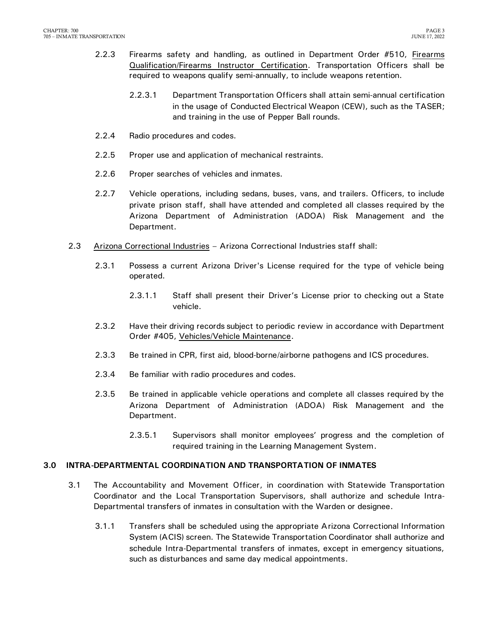- 2.2.3 Firearms safety and handling, as outlined in Department Order #510, Firearms Qualification/Firearms Instructor Certification. Transportation Officers shall be required to weapons qualify semi-annually, to include weapons retention.
	- 2.2.3.1 Department Transportation Officers shall attain semi-annual certification in the usage of Conducted Electrical Weapon (CEW), such as the TASER; and training in the use of Pepper Ball rounds.
- 2.2.4 Radio procedures and codes.
- 2.2.5 Proper use and application of mechanical restraints.
- 2.2.6 Proper searches of vehicles and inmates.
- 2.2.7 Vehicle operations, including sedans, buses, vans, and trailers. Officers, to include private prison staff, shall have attended and completed all classes required by the Arizona Department of Administration (ADOA) Risk Management and the Department.
- 2.3 Arizona Correctional Industries Arizona Correctional Industries staff shall:
	- 2.3.1 Possess a current Arizona Driver's License required for the type of vehicle being operated.
		- 2.3.1.1 Staff shall present their Driver's License prior to checking out a State vehicle.
	- 2.3.2 Have their driving records subject to periodic review in accordance with Department Order #405, Vehicles/Vehicle Maintenance.
	- 2.3.3 Be trained in CPR, first aid, blood-borne/airborne pathogens and ICS procedures.
	- 2.3.4 Be familiar with radio procedures and codes.
	- 2.3.5 Be trained in applicable vehicle operations and complete all classes required by the Arizona Department of Administration (ADOA) Risk Management and the Department.
		- 2.3.5.1 Supervisors shall monitor employees' progress and the completion of required training in the Learning Management System.

#### <span id="page-4-0"></span>**3.0 INTRA-DEPARTMENTAL COORDINATION AND TRANSPORTATION OF INMATES**

- 3.1 The Accountability and Movement Officer, in coordination with Statewide Transportation Coordinator and the Local Transportation Supervisors, shall authorize and schedule Intra-Departmental transfers of inmates in consultation with the Warden or designee.
	- 3.1.1 Transfers shall be scheduled using the appropriate Arizona Correctional Information System (ACIS) screen. The Statewide Transportation Coordinator shall authorize and schedule Intra-Departmental transfers of inmates, except in emergency situations, such as disturbances and same day medical appointments.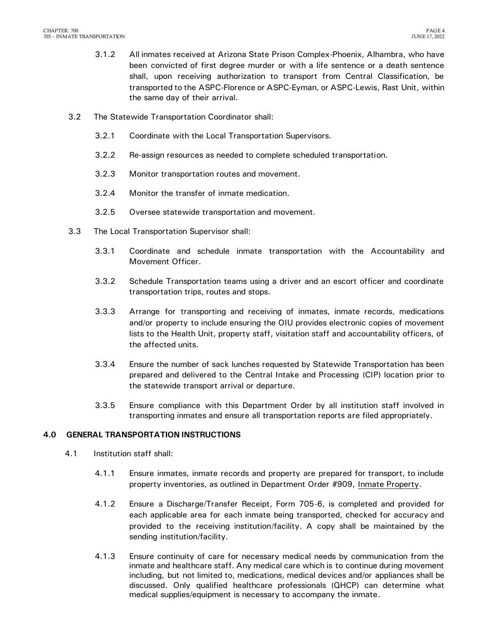- 3.1.2 All inmates received at Arizona State Prison Complex-Phoenix, Alhambra, who have been convicted of first degree murder or with a life sentence or a death sentence shall, upon receiving authorization to transport from Central Classification, be transported to the ASPC-Florence or ASPC-Eyman, or ASPC-Lewis, Rast Unit, within the same day of their arrival.
- 3.2 The Statewide Transportation Coordinator shall:
	- 3.2.1 Coordinate with the Local Transportation Supervisors.
	- 3.2.2 Re-assign resources as needed to complete scheduled transportation.
	- 3.2.3 Monitor transportation routes and movement.
	- 3.2.4 Monitor the transfer of inmate medication.
	- 3.2.5 Oversee statewide transportation and movement.
- 3.3 The Local Transportation Supervisor shall:
	- 3.3.1 Coordinate and schedule inmate transportation with the Accountability and Movement Officer.
	- 3.3.2 Schedule Transportation teams using a driver and an escort officer and coordinate transportation trips, routes and stops.
	- 3.3.3 Arrange for transporting and receiving of inmates, inmate records, medications and/or property to include ensuring the OIU provides electronic copies of movement lists to the Health Unit, property staff, visitation staff and accountability officers, of the affected units.
	- 3.3.4 Ensure the number of sack lunches requested by Statewide Transportation has been prepared and delivered to the Central Intake and Processing (CIP) location prior to the statewide transport arrival or departure.
	- 3.3.5 Ensure compliance with this Department Order by all institution staff involved in transporting inmates and ensure all transportation reports are filed appropriately.

#### <span id="page-5-0"></span>**4.0 GENERAL TRANSPORTATION INSTRUCTIONS**

- 4.1 Institution staff shall:
	- 4.1.1 Ensure inmates, inmate records and property are prepared for transport, to include property inventories, as outlined in Department Order #909, Inmate Property.
	- 4.1.2 Ensure a Discharge/Transfer Receipt, Form 705-6, is completed and provided for each applicable area for each inmate being transported, checked for accuracy and provided to the receiving institution/facility. A copy shall be maintained by the sending institution/facility.
	- 4.1.3 Ensure continuity of care for necessary medical needs by communication from the inmate and healthcare staff. Any medical care which is to continue during movement including, but not limited to, medications, medical devices and/or appliances shall be discussed. Only qualified healthcare professionals (QHCP) can determine what medical supplies/equipment is necessary to accompany the inmate.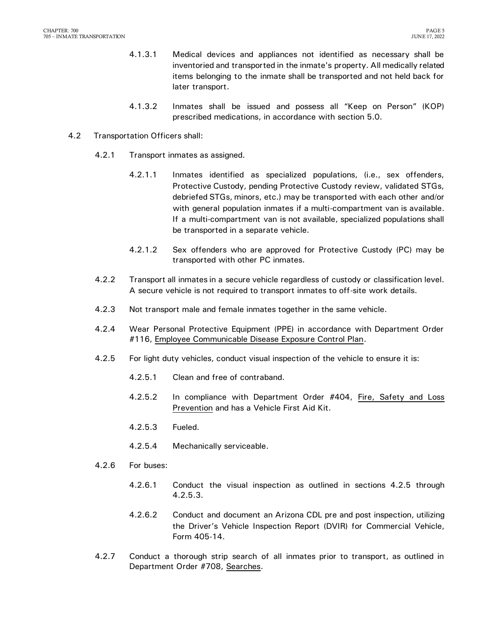- 4.1.3.1 Medical devices and appliances not identified as necessary shall be inventoried and transported in the inmate's property. All medically related items belonging to the inmate shall be transported and not held back for later transport.
- 4.1.3.2 Inmates shall be issued and possess all "Keep on Person" (KOP) prescribed medications, in accordance with section 5.0.
- 4.2 Transportation Officers shall:
	- 4.2.1 Transport inmates as assigned.
		- 4.2.1.1 Inmates identified as specialized populations, (i.e., sex offenders, Protective Custody, pending Protective Custody review, validated STGs, debriefed STGs, minors, etc.) may be transported with each other and/or with general population inmates if a multi-compartment van is available. If a multi-compartment van is not available, specialized populations shall be transported in a separate vehicle.
		- 4.2.1.2 Sex offenders who are approved for Protective Custody (PC) may be transported with other PC inmates.
	- 4.2.2 Transport all inmates in a secure vehicle regardless of custody or classification level. A secure vehicle is not required to transport inmates to off-site work details.
	- 4.2.3 Not transport male and female inmates together in the same vehicle.
	- 4.2.4 Wear Personal Protective Equipment (PPE) in accordance with Department Order #116, Employee Communicable Disease Exposure Control Plan.
	- 4.2.5 For light duty vehicles, conduct visual inspection of the vehicle to ensure it is:
		- 4.2.5.1 Clean and free of contraband.
		- 4.2.5.2 In compliance with Department Order #404, Fire, Safety and Loss Prevention and has a Vehicle First Aid Kit.
		- 4.2.5.3 Fueled.
		- 4.2.5.4 Mechanically serviceable.
	- 4.2.6 For buses:
		- 4.2.6.1 Conduct the visual inspection as outlined in sections 4.2.5 through 4.2.5.3.
		- 4.2.6.2 Conduct and document an Arizona CDL pre and post inspection, utilizing the Driver's Vehicle Inspection Report (DVIR) for Commercial Vehicle, Form 405-14.
	- 4.2.7 Conduct a thorough strip search of all inmates prior to transport, as outlined in Department Order #708, Searches.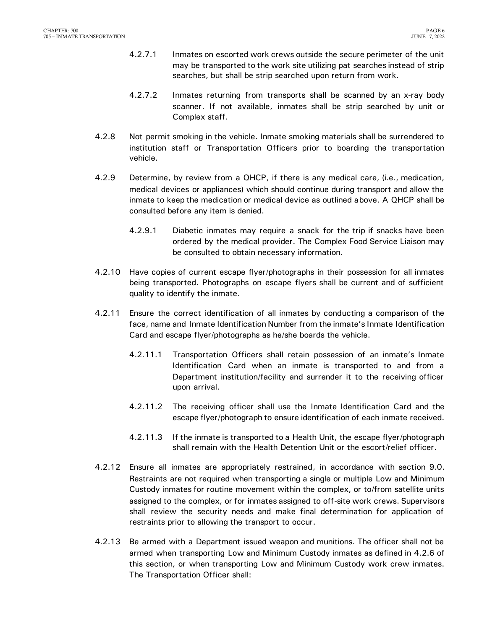- 4.2.7.1 Inmates on escorted work crews outside the secure perimeter of the unit may be transported to the work site utilizing pat searches instead of strip searches, but shall be strip searched upon return from work.
- 4.2.7.2 Inmates returning from transports shall be scanned by an x-ray body scanner. If not available, inmates shall be strip searched by unit or Complex staff.
- 4.2.8 Not permit smoking in the vehicle. Inmate smoking materials shall be surrendered to institution staff or Transportation Officers prior to boarding the transportation vehicle.
- 4.2.9 Determine, by review from a QHCP, if there is any medical care, (i.e., medication, medical devices or appliances) which should continue during transport and allow the inmate to keep the medication or medical device as outlined above. A QHCP shall be consulted before any item is denied.
	- 4.2.9.1 Diabetic inmates may require a snack for the trip if snacks have been ordered by the medical provider. The Complex Food Service Liaison may be consulted to obtain necessary information.
- 4.2.10 Have copies of current escape flyer/photographs in their possession for all inmates being transported. Photographs on escape flyers shall be current and of sufficient quality to identify the inmate.
- 4.2.11 Ensure the correct identification of all inmates by conducting a comparison of the face, name and Inmate Identification Number from the inmate's Inmate Identification Card and escape flyer/photographs as he/she boards the vehicle.
	- 4.2.11.1 Transportation Officers shall retain possession of an inmate's Inmate Identification Card when an inmate is transported to and from a Department institution/facility and surrender it to the receiving officer upon arrival.
	- 4.2.11.2 The receiving officer shall use the Inmate Identification Card and the escape flyer/photograph to ensure identification of each inmate received.
	- 4.2.11.3 If the inmate is transported to a Health Unit, the escape flyer/photograph shall remain with the Health Detention Unit or the escort/relief officer.
- 4.2.12 Ensure all inmates are appropriately restrained, in accordance with section 9.0. Restraints are not required when transporting a single or multiple Low and Minimum Custody inmates for routine movement within the complex, or to/from satellite units assigned to the complex, or for inmates assigned to off-site work crews. Supervisors shall review the security needs and make final determination for application of restraints prior to allowing the transport to occur.
- 4.2.13 Be armed with a Department issued weapon and munitions. The officer shall not be armed when transporting Low and Minimum Custody inmates as defined in 4.2.6 of this section, or when transporting Low and Minimum Custody work crew inmates. The Transportation Officer shall: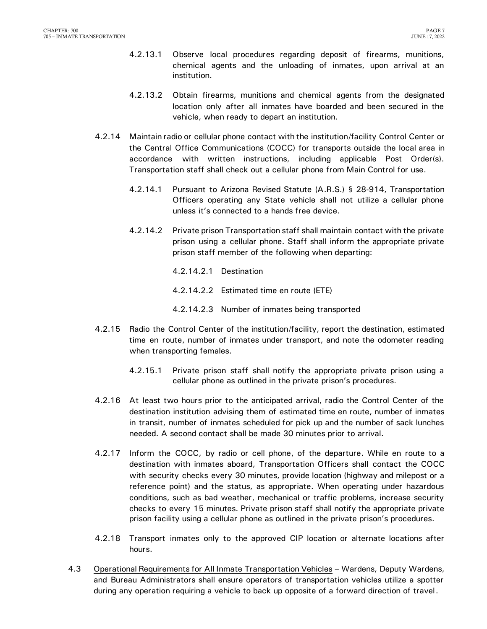- 4.2.13.1 Observe local procedures regarding deposit of firearms, munitions, chemical agents and the unloading of inmates, upon arrival at an institution.
- 4.2.13.2 Obtain firearms, munitions and chemical agents from the designated location only after all inmates have boarded and been secured in the vehicle, when ready to depart an institution.
- 4.2.14 Maintain radio or cellular phone contact with the institution/facility Control Center or the Central Office Communications (COCC) for transports outside the local area in accordance with written instructions, including applicable Post Order(s). Transportation staff shall check out a cellular phone from Main Control for use.
	- 4.2.14.1 Pursuant to Arizona Revised Statute (A.R.S.) § 28-914, Transportation Officers operating any State vehicle shall not utilize a cellular phone unless it's connected to a hands free device.
	- 4.2.14.2 Private prison Transportation staff shall maintain contact with the private prison using a cellular phone. Staff shall inform the appropriate private prison staff member of the following when departing:
		- 4.2.14.2.1 Destination
		- 4.2.14.2.2 Estimated time en route (ETE)
		- 4.2.14.2.3 Number of inmates being transported
- 4.2.15 Radio the Control Center of the institution/facility, report the destination, estimated time en route, number of inmates under transport, and note the odometer reading when transporting females.
	- 4.2.15.1 Private prison staff shall notify the appropriate private prison using a cellular phone as outlined in the private prison's procedures.
- 4.2.16 At least two hours prior to the anticipated arrival, radio the Control Center of the destination institution advising them of estimated time en route, number of inmates in transit, number of inmates scheduled for pick up and the number of sack lunches needed. A second contact shall be made 30 minutes prior to arrival.
- 4.2.17 Inform the COCC, by radio or cell phone, of the departure. While en route to a destination with inmates aboard, Transportation Officers shall contact the COCC with security checks every 30 minutes, provide location (highway and milepost or a reference point) and the status, as appropriate. When operating under hazardous conditions, such as bad weather, mechanical or traffic problems, increase security checks to every 15 minutes. Private prison staff shall notify the appropriate private prison facility using a cellular phone as outlined in the private prison's procedures.
- 4.2.18 Transport inmates only to the approved CIP location or alternate locations after hours.
- 4.3 Operational Requirements for All Inmate Transportation Vehicles Wardens, Deputy Wardens, and Bureau Administrators shall ensure operators of transportation vehicles utilize a spotter during any operation requiring a vehicle to back up opposite of a forward direction of travel.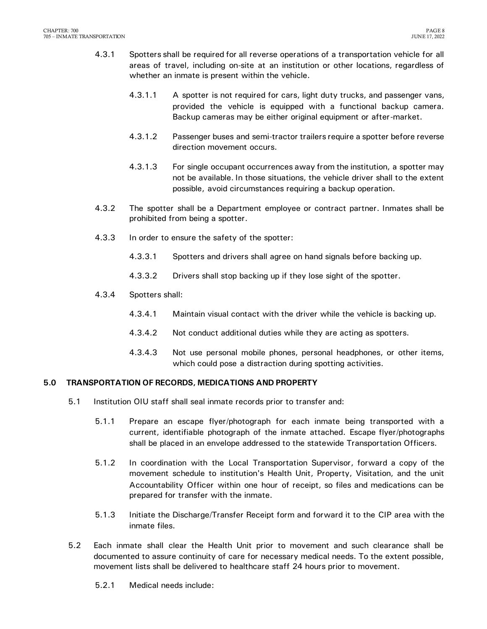- 4.3.1 Spotters shall be required for all reverse operations of a transportation vehicle for all areas of travel, including on-site at an institution or other locations, regardless of whether an inmate is present within the vehicle.
	- 4.3.1.1 A spotter is not required for cars, light duty trucks, and passenger vans, provided the vehicle is equipped with a functional backup camera. Backup cameras may be either original equipment or after-market.
	- 4.3.1.2 Passenger buses and semi-tractor trailers require a spotter before reverse direction movement occurs.
	- 4.3.1.3 For single occupant occurrences away from the institution, a spotter may not be available. In those situations, the vehicle driver shall to the extent possible, avoid circumstances requiring a backup operation.
- 4.3.2 The spotter shall be a Department employee or contract partner. Inmates shall be prohibited from being a spotter.
- 4.3.3 In order to ensure the safety of the spotter:
	- 4.3.3.1 Spotters and drivers shall agree on hand signals before backing up.
	- 4.3.3.2 Drivers shall stop backing up if they lose sight of the spotter.
- 4.3.4 Spotters shall:
	- 4.3.4.1 Maintain visual contact with the driver while the vehicle is backing up.
	- 4.3.4.2 Not conduct additional duties while they are acting as spotters.
	- 4.3.4.3 Not use personal mobile phones, personal headphones, or other items, which could pose a distraction during spotting activities.

#### <span id="page-9-0"></span>**5.0 TRANSPORTATION OF RECORDS, MEDICATIONS AND PROPERTY**

- 5.1 Institution OIU staff shall seal inmate records prior to transfer and:
	- 5.1.1 Prepare an escape flyer/photograph for each inmate being transported with a current, identifiable photograph of the inmate attached. Escape flyer/photographs shall be placed in an envelope addressed to the statewide Transportation Officers.
	- 5.1.2 In coordination with the Local Transportation Supervisor, forward a copy of the movement schedule to institution's Health Unit, Property, Visitation, and the unit Accountability Officer within one hour of receipt, so files and medications can be prepared for transfer with the inmate.
	- 5.1.3 Initiate the Discharge/Transfer Receipt form and forward it to the CIP area with the inmate files.
- 5.2 Each inmate shall clear the Health Unit prior to movement and such clearance shall be documented to assure continuity of care for necessary medical needs. To the extent possible, movement lists shall be delivered to healthcare staff 24 hours prior to movement.
	- 5.2.1 Medical needs include: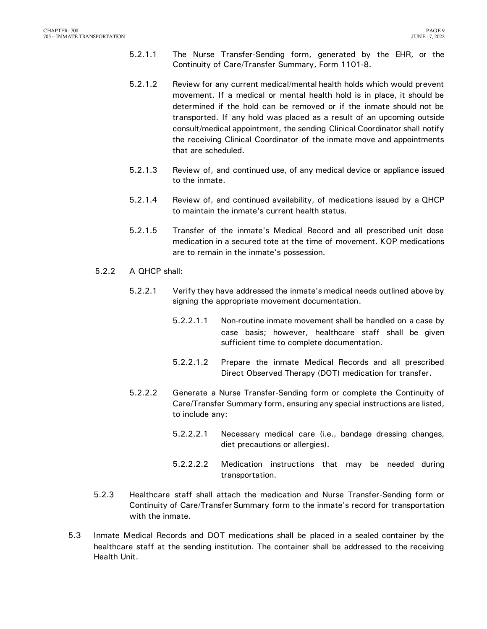- 5.2.1.1 The Nurse Transfer-Sending form, generated by the EHR, or the Continuity of Care/Transfer Summary, Form 1101-8.
- 5.2.1.2 Review for any current medical/mental health holds which would prevent movement. If a medical or mental health hold is in place, it should be determined if the hold can be removed or if the inmate should not be transported. If any hold was placed as a result of an upcoming outside consult/medical appointment, the sending Clinical Coordinator shall notify the receiving Clinical Coordinator of the inmate move and appointments that are scheduled.
- 5.2.1.3 Review of, and continued use, of any medical device or appliance issued to the inmate.
- 5.2.1.4 Review of, and continued availability, of medications issued by a QHCP to maintain the inmate's current health status.
- 5.2.1.5 Transfer of the inmate's Medical Record and all prescribed unit dose medication in a secured tote at the time of movement. KOP medications are to remain in the inmate's possession.
- 5.2.2 A QHCP shall:
	- 5.2.2.1 Verify they have addressed the inmate's medical needs outlined above by signing the appropriate movement documentation.
		- 5.2.2.1.1 Non-routine inmate movement shall be handled on a case by case basis; however, healthcare staff shall be given sufficient time to complete documentation.
		- 5.2.2.1.2 Prepare the inmate Medical Records and all prescribed Direct Observed Therapy (DOT) medication for transfer.
	- 5.2.2.2 Generate a Nurse Transfer-Sending form or complete the Continuity of Care/Transfer Summary form, ensuring any special instructions are listed, to include any:
		- 5.2.2.2.1 Necessary medical care (i.e., bandage dressing changes, diet precautions or allergies).
		- 5.2.2.2.2 Medication instructions that may be needed during transportation.
- 5.2.3 Healthcare staff shall attach the medication and Nurse Transfer-Sending form or Continuity of Care/Transfer Summary form to the inmate's record for transportation with the inmate.
- 5.3 Inmate Medical Records and DOT medications shall be placed in a sealed container by the healthcare staff at the sending institution. The container shall be addressed to the receiving Health Unit.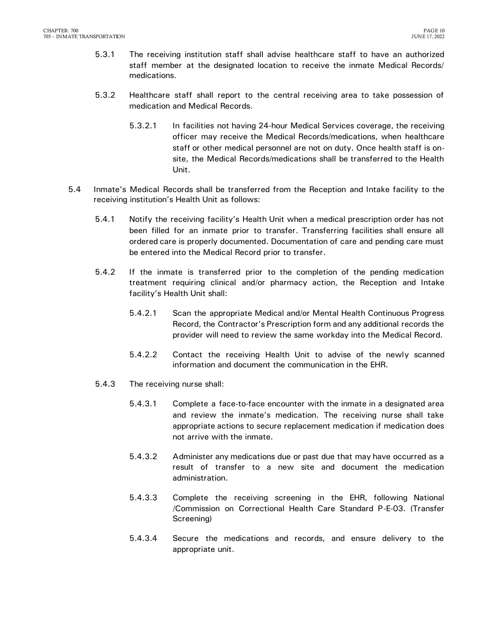- 5.3.1 The receiving institution staff shall advise healthcare staff to have an authorized staff member at the designated location to receive the inmate Medical Records/ medications.
- 5.3.2 Healthcare staff shall report to the central receiving area to take possession of medication and Medical Records.
	- 5.3.2.1 In facilities not having 24-hour Medical Services coverage, the receiving officer may receive the Medical Records/medications, when healthcare staff or other medical personnel are not on duty. Once health staff is onsite, the Medical Records/medications shall be transferred to the Health Unit.
- 5.4 Inmate's Medical Records shall be transferred from the Reception and Intake facility to the receiving institution's Health Unit as follows:
	- 5.4.1 Notify the receiving facility's Health Unit when a medical prescription order has not been filled for an inmate prior to transfer. Transferring facilities shall ensure all ordered care is properly documented. Documentation of care and pending care must be entered into the Medical Record prior to transfer.
	- 5.4.2 If the inmate is transferred prior to the completion of the pending medication treatment requiring clinical and/or pharmacy action, the Reception and Intake facility's Health Unit shall:
		- 5.4.2.1 Scan the appropriate Medical and/or Mental Health Continuous Progress Record, the Contractor's Prescription form and any additional records the provider will need to review the same workday into the Medical Record.
		- 5.4.2.2 Contact the receiving Health Unit to advise of the newly scanned information and document the communication in the EHR.
	- 5.4.3 The receiving nurse shall:
		- 5.4.3.1 Complete a face-to-face encounter with the inmate in a designated area and review the inmate's medication. The receiving nurse shall take appropriate actions to secure replacement medication if medication does not arrive with the inmate.
		- 5.4.3.2 Administer any medications due or past due that may have occurred as a result of transfer to a new site and document the medication administration.
		- 5.4.3.3 Complete the receiving screening in the EHR, following National /Commission on Correctional Health Care Standard P-E-03. (Transfer Screening)
		- 5.4.3.4 Secure the medications and records, and ensure delivery to the appropriate unit.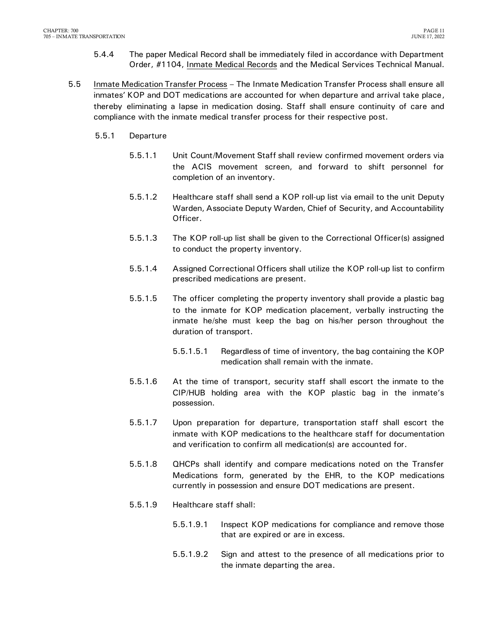- 5.4.4 The paper Medical Record shall be immediately filed in accordance with Department Order, #1104, Inmate Medical Records and the Medical Services Technical Manual.
- 5.5 Inmate Medication Transfer Process The Inmate Medication Transfer Process shall ensure all inmates' KOP and DOT medications are accounted for when departure and arrival take place, thereby eliminating a lapse in medication dosing. Staff shall ensure continuity of care and compliance with the inmate medical transfer process for their respective post.
	- 5.5.1 Departure
		- 5.5.1.1 Unit Count/Movement Staff shall review confirmed movement orders via the ACIS movement screen, and forward to shift personnel for completion of an inventory.
		- 5.5.1.2 Healthcare staff shall send a KOP roll-up list via email to the unit Deputy Warden, Associate Deputy Warden, Chief of Security, and Accountability Officer.
		- 5.5.1.3 The KOP roll-up list shall be given to the Correctional Officer(s) assigned to conduct the property inventory.
		- 5.5.1.4 Assigned Correctional Officers shall utilize the KOP roll-up list to confirm prescribed medications are present.
		- 5.5.1.5 The officer completing the property inventory shall provide a plastic bag to the inmate for KOP medication placement, verbally instructing the inmate he/she must keep the bag on his/her person throughout the duration of transport.
			- 5.5.1.5.1 Regardless of time of inventory, the bag containing the KOP medication shall remain with the inmate.
		- 5.5.1.6 At the time of transport, security staff shall escort the inmate to the CIP/HUB holding area with the KOP plastic bag in the inmate's possession.
		- 5.5.1.7 Upon preparation for departure, transportation staff shall escort the inmate with KOP medications to the healthcare staff for documentation and verification to confirm all medication(s) are accounted for.
		- 5.5.1.8 QHCPs shall identify and compare medications noted on the Transfer Medications form, generated by the EHR, to the KOP medications currently in possession and ensure DOT medications are present.
		- 5.5.1.9 Healthcare staff shall:
			- 5.5.1.9.1 Inspect KOP medications for compliance and remove those that are expired or are in excess.
			- 5.5.1.9.2 Sign and attest to the presence of all medications prior to the inmate departing the area.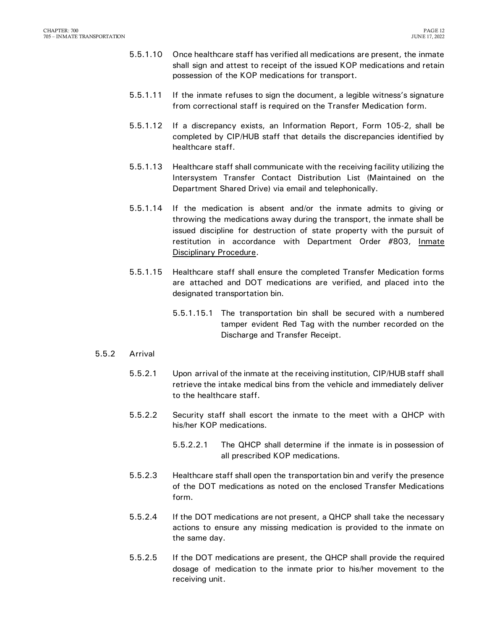- 5.5.1.10 Once healthcare staff has verified all medications are present, the inmate shall sign and attest to receipt of the issued KOP medications and retain possession of the KOP medications for transport.
- 5.5.1.11 If the inmate refuses to sign the document, a legible witness's signature from correctional staff is required on the Transfer Medication form.
- 5.5.1.12 If a discrepancy exists, an Information Report, Form 105-2, shall be completed by CIP/HUB staff that details the discrepancies identified by healthcare staff.
- 5.5.1.13 Healthcare staff shall communicate with the receiving facility utilizing the Intersystem Transfer Contact Distribution List (Maintained on the Department Shared Drive) via email and telephonically.
- 5.5.1.14 If the medication is absent and/or the inmate admits to giving or throwing the medications away during the transport, the inmate shall be issued discipline for destruction of state property with the pursuit of restitution in accordance with Department Order #803, Inmate Disciplinary Procedure.
- 5.5.1.15 Healthcare staff shall ensure the completed Transfer Medication forms are attached and DOT medications are verified, and placed into the designated transportation bin.
	- 5.5.1.15.1 The transportation bin shall be secured with a numbered tamper evident Red Tag with the number recorded on the Discharge and Transfer Receipt.
- 5.5.2 Arrival
	- 5.5.2.1 Upon arrival of the inmate at the receiving institution, CIP/HUB staff shall retrieve the intake medical bins from the vehicle and immediately deliver to the healthcare staff.
	- 5.5.2.2 Security staff shall escort the inmate to the meet with a QHCP with his/her KOP medications.
		- 5.5.2.2.1 The QHCP shall determine if the inmate is in possession of all prescribed KOP medications.
	- 5.5.2.3 Healthcare staff shall open the transportation bin and verify the presence of the DOT medications as noted on the enclosed Transfer Medications form.
	- 5.5.2.4 If the DOT medications are not present, a QHCP shall take the necessary actions to ensure any missing medication is provided to the inmate on the same day.
	- 5.5.2.5 If the DOT medications are present, the QHCP shall provide the required dosage of medication to the inmate prior to his/her movement to the receiving unit.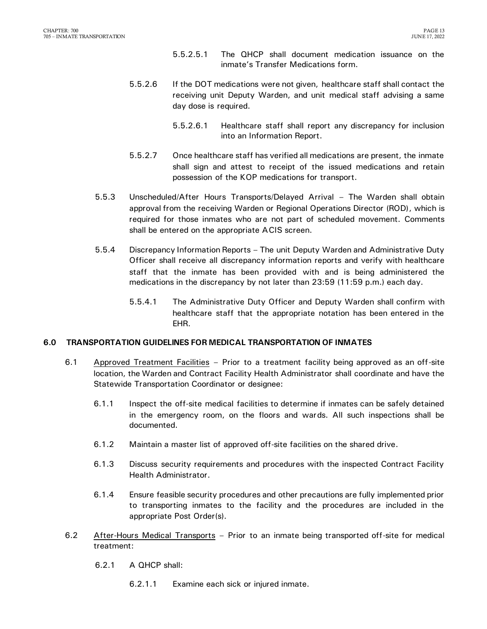- 5.5.2.5.1 The QHCP shall document medication issuance on the inmate's Transfer Medications form.
- 5.5.2.6 If the DOT medications were not given, healthcare staff shall contact the receiving unit Deputy Warden, and unit medical staff advising a same day dose is required.
	- 5.5.2.6.1 Healthcare staff shall report any discrepancy for inclusion into an Information Report.
- 5.5.2.7 Once healthcare staff has verified all medications are present, the inmate shall sign and attest to receipt of the issued medications and retain possession of the KOP medications for transport.
- 5.5.3 Unscheduled/After Hours Transports/Delayed Arrival The Warden shall obtain approval from the receiving Warden or Regional Operations Director (ROD), which is required for those inmates who are not part of scheduled movement. Comments shall be entered on the appropriate ACIS screen.
- 5.5.4 Discrepancy Information Reports The unit Deputy Warden and Administrative Duty Officer shall receive all discrepancy information reports and verify with healthcare staff that the inmate has been provided with and is being administered the medications in the discrepancy by not later than 23:59 (11:59 p.m.) each day.
	- 5.5.4.1 The Administrative Duty Officer and Deputy Warden shall confirm with healthcare staff that the appropriate notation has been entered in the EHR.

#### <span id="page-14-0"></span>**6.0 TRANSPORTATION GUIDELINES FOR MEDICAL TRANSPORTATION OF INMATES**

- 6.1 Approved Treatment Facilities Prior to a treatment facility being approved as an off-site location, the Warden and Contract Facility Health Administrator shall coordinate and have the Statewide Transportation Coordinator or designee:
	- 6.1.1 Inspect the off-site medical facilities to determine if inmates can be safely detained in the emergency room, on the floors and wards. All such inspections shall be documented.
	- 6.1.2 Maintain a master list of approved off-site facilities on the shared drive.
	- 6.1.3 Discuss security requirements and procedures with the inspected Contract Facility Health Administrator.
	- 6.1.4 Ensure feasible security procedures and other precautions are fully implemented prior to transporting inmates to the facility and the procedures are included in the appropriate Post Order(s).
- 6.2 After-Hours Medical Transports Prior to an inmate being transported off-site for medical treatment:
	- 6.2.1 A QHCP shall:
		- 6.2.1.1 Examine each sick or injured inmate.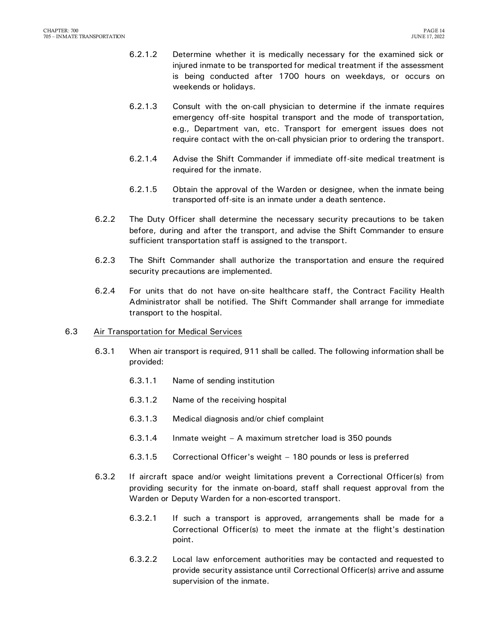- 6.2.1.2 Determine whether it is medically necessary for the examined sick or injured inmate to be transported for medical treatment if the assessment is being conducted after 1700 hours on weekdays, or occurs on weekends or holidays.
- 6.2.1.3 Consult with the on-call physician to determine if the inmate requires emergency off-site hospital transport and the mode of transportation, e.g., Department van, etc. Transport for emergent issues does not require contact with the on-call physician prior to ordering the transport.
- 6.2.1.4 Advise the Shift Commander if immediate off-site medical treatment is required for the inmate.
- 6.2.1.5 Obtain the approval of the Warden or designee, when the inmate being transported off-site is an inmate under a death sentence.
- 6.2.2 The Duty Officer shall determine the necessary security precautions to be taken before, during and after the transport, and advise the Shift Commander to ensure sufficient transportation staff is assigned to the transport.
- 6.2.3 The Shift Commander shall authorize the transportation and ensure the required security precautions are implemented.
- 6.2.4 For units that do not have on-site healthcare staff, the Contract Facility Health Administrator shall be notified. The Shift Commander shall arrange for immediate transport to the hospital.

#### 6.3 Air Transportation for Medical Services

- 6.3.1 When air transport is required, 911 shall be called. The following information shall be provided:
	- 6.3.1.1 Name of sending institution
	- 6.3.1.2 Name of the receiving hospital
	- 6.3.1.3 Medical diagnosis and/or chief complaint
	- 6.3.1.4 Inmate weight A maximum stretcher load is 350 pounds
	- 6.3.1.5 Correctional Officer's weight 180 pounds or less is preferred
- 6.3.2 If aircraft space and/or weight limitations prevent a Correctional Officer(s) from providing security for the inmate on-board, staff shall request approval from the Warden or Deputy Warden for a non-escorted transport.
	- 6.3.2.1 If such a transport is approved, arrangements shall be made for a Correctional Officer(s) to meet the inmate at the flight's destination point.
	- 6.3.2.2 Local law enforcement authorities may be contacted and requested to provide security assistance until Correctional Officer(s) arrive and assume supervision of the inmate.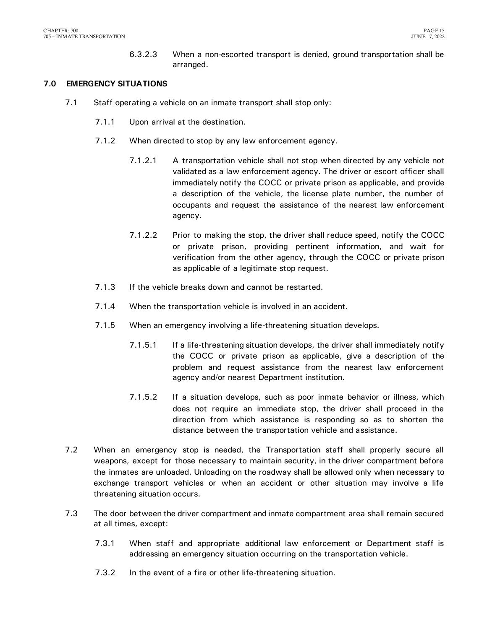6.3.2.3 When a non-escorted transport is denied, ground transportation shall be arranged.

#### <span id="page-16-0"></span>**7.0 EMERGENCY SITUATIONS**

- 7.1 Staff operating a vehicle on an inmate transport shall stop only:
	- 7.1.1 Upon arrival at the destination.
	- 7.1.2 When directed to stop by any law enforcement agency.
		- 7.1.2.1 A transportation vehicle shall not stop when directed by any vehicle not validated as a law enforcement agency. The driver or escort officer shall immediately notify the COCC or private prison as applicable, and provide a description of the vehicle, the license plate number, the number of occupants and request the assistance of the nearest law enforcement agency.
		- 7.1.2.2 Prior to making the stop, the driver shall reduce speed, notify the COCC or private prison, providing pertinent information, and wait for verification from the other agency, through the COCC or private prison as applicable of a legitimate stop request.
	- 7.1.3 If the vehicle breaks down and cannot be restarted.
	- 7.1.4 When the transportation vehicle is involved in an accident.
	- 7.1.5 When an emergency involving a life-threatening situation develops.
		- 7.1.5.1 If a life-threatening situation develops, the driver shall immediately notify the COCC or private prison as applicable, give a description of the problem and request assistance from the nearest law enforcement agency and/or nearest Department institution.
		- 7.1.5.2 If a situation develops, such as poor inmate behavior or illness, which does not require an immediate stop, the driver shall proceed in the direction from which assistance is responding so as to shorten the distance between the transportation vehicle and assistance.
- 7.2 When an emergency stop is needed, the Transportation staff shall properly secure all weapons, except for those necessary to maintain security, in the driver compartment before the inmates are unloaded. Unloading on the roadway shall be allowed only when necessary to exchange transport vehicles or when an accident or other situation may involve a life threatening situation occurs.
- 7.3 The door between the driver compartment and inmate compartment area shall remain secured at all times, except:
	- 7.3.1 When staff and appropriate additional law enforcement or Department staff is addressing an emergency situation occurring on the transportation vehicle.
	- 7.3.2 In the event of a fire or other life-threatening situation.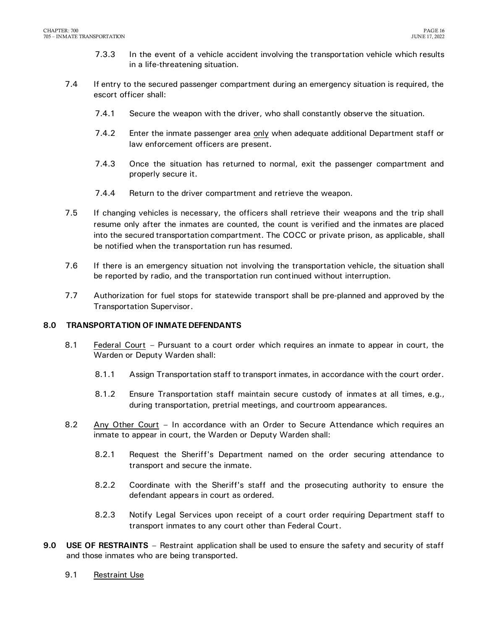- 7.3.3 In the event of a vehicle accident involving the transportation vehicle which results in a life-threatening situation.
- 7.4 If entry to the secured passenger compartment during an emergency situation is required, the escort officer shall:
	- 7.4.1 Secure the weapon with the driver, who shall constantly observe the situation.
	- 7.4.2 Enter the inmate passenger area only when adequate additional Department staff or law enforcement officers are present.
	- 7.4.3 Once the situation has returned to normal, exit the passenger compartment and properly secure it.
	- 7.4.4 Return to the driver compartment and retrieve the weapon.
- 7.5 If changing vehicles is necessary, the officers shall retrieve their weapons and the trip shall resume only after the inmates are counted, the count is verified and the inmates are placed into the secured transportation compartment. The COCC or private prison, as applicable, shall be notified when the transportation run has resumed.
- 7.6 If there is an emergency situation not involving the transportation vehicle, the situation shall be reported by radio, and the transportation run continued without interruption.
- 7.7 Authorization for fuel stops for statewide transport shall be pre-planned and approved by the Transportation Supervisor.

#### <span id="page-17-0"></span>**8.0 TRANSPORTATION OF INMATE DEFENDANTS**

- 8.1 Federal Court Pursuant to a court order which requires an inmate to appear in court, the Warden or Deputy Warden shall:
	- 8.1.1 Assign Transportation staff to transport inmates, in accordance with the court order.
	- 8.1.2 Ensure Transportation staff maintain secure custody of inmates at all times, e.g., during transportation, pretrial meetings, and courtroom appearances.
- 8.2 Any Other Court In accordance with an Order to Secure Attendance which requires an inmate to appear in court, the Warden or Deputy Warden shall:
	- 8.2.1 Request the Sheriff's Department named on the order securing attendance to transport and secure the inmate.
	- 8.2.2 Coordinate with the Sheriff's staff and the prosecuting authority to ensure the defendant appears in court as ordered.
	- 8.2.3 Notify Legal Services upon receipt of a court order requiring Department staff to transport inmates to any court other than Federal Court.
- <span id="page-17-1"></span>**9.0 USE OF RESTRAINTS** – Restraint application shall be used to ensure the safety and security of staff and those inmates who are being transported.
	- 9.1 Restraint Use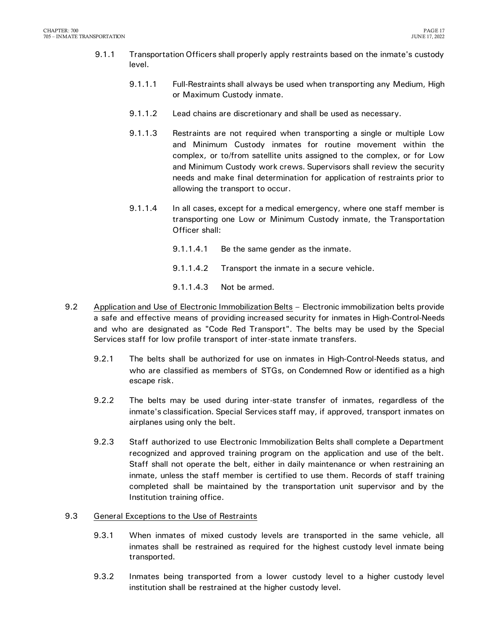- 9.1.1 Transportation Officers shall properly apply restraints based on the inmate's custody level.
	- 9.1.1.1 Full-Restraints shall always be used when transporting any Medium, High or Maximum Custody inmate.
	- 9.1.1.2 Lead chains are discretionary and shall be used as necessary.
	- 9.1.1.3 Restraints are not required when transporting a single or multiple Low and Minimum Custody inmates for routine movement within the complex, or to/from satellite units assigned to the complex, or for Low and Minimum Custody work crews. Supervisors shall review the security needs and make final determination for application of restraints prior to allowing the transport to occur.
	- 9.1.1.4 In all cases, except for a medical emergency, where one staff member is transporting one Low or Minimum Custody inmate, the Transportation Officer shall:
		- 9.1.1.4.1 Be the same gender as the inmate.
		- 9.1.1.4.2 Transport the inmate in a secure vehicle.
		- 9.1.1.4.3 Not be armed.
- 9.2 Application and Use of Electronic Immobilization Belts Electronic immobilization belts provide a safe and effective means of providing increased security for inmates in High-Control-Needs and who are designated as "Code Red Transport". The belts may be used by the Special Services staff for low profile transport of inter-state inmate transfers.
	- 9.2.1 The belts shall be authorized for use on inmates in High-Control-Needs status, and who are classified as members of STGs, on Condemned Row or identified as a high escape risk.
	- 9.2.2 The belts may be used during inter-state transfer of inmates, regardless of the inmate's classification. Special Services staff may, if approved, transport inmates on airplanes using only the belt.
	- 9.2.3 Staff authorized to use Electronic Immobilization Belts shall complete a Department recognized and approved training program on the application and use of the belt. Staff shall not operate the belt, either in daily maintenance or when restraining an inmate, unless the staff member is certified to use them. Records of staff training completed shall be maintained by the transportation unit supervisor and by the Institution training office.

#### 9.3 General Exceptions to the Use of Restraints

- 9.3.1 When inmates of mixed custody levels are transported in the same vehicle, all inmates shall be restrained as required for the highest custody level inmate being transported.
- 9.3.2 Inmates being transported from a lower custody level to a higher custody level institution shall be restrained at the higher custody level.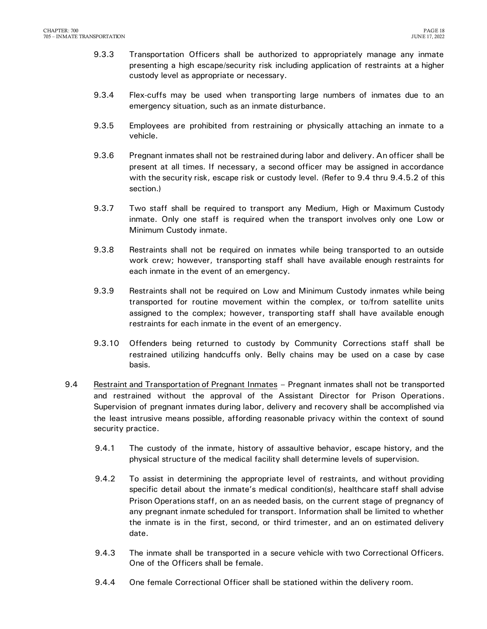- 9.3.3 Transportation Officers shall be authorized to appropriately manage any inmate presenting a high escape/security risk including application of restraints at a higher custody level as appropriate or necessary.
- 9.3.4 Flex-cuffs may be used when transporting large numbers of inmates due to an emergency situation, such as an inmate disturbance.
- 9.3.5 Employees are prohibited from restraining or physically attaching an inmate to a vehicle.
- 9.3.6 Pregnant inmates shall not be restrained during labor and delivery. An officer shall be present at all times. If necessary, a second officer may be assigned in accordance with the security risk, escape risk or custody level. (Refer to 9.4 thru 9.4.5.2 of this section.)
- 9.3.7 Two staff shall be required to transport any Medium, High or Maximum Custody inmate. Only one staff is required when the transport involves only one Low or Minimum Custody inmate.
- 9.3.8 Restraints shall not be required on inmates while being transported to an outside work crew; however, transporting staff shall have available enough restraints for each inmate in the event of an emergency.
- 9.3.9 Restraints shall not be required on Low and Minimum Custody inmates while being transported for routine movement within the complex, or to/from satellite units assigned to the complex; however, transporting staff shall have available enough restraints for each inmate in the event of an emergency.
- 9.3.10 Offenders being returned to custody by Community Corrections staff shall be restrained utilizing handcuffs only. Belly chains may be used on a case by case basis.
- 9.4 Restraint and Transportation of Pregnant Inmates Pregnant inmates shall not be transported and restrained without the approval of the Assistant Director for Prison Operations. Supervision of pregnant inmates during labor, delivery and recovery shall be accomplished via the least intrusive means possible, affording reasonable privacy within the context of sound security practice.
	- 9.4.1 The custody of the inmate, history of assaultive behavior, escape history, and the physical structure of the medical facility shall determine levels of supervision.
	- 9.4.2 To assist in determining the appropriate level of restraints, and without providing specific detail about the inmate's medical condition(s), healthcare staff shall advise Prison Operations staff, on an as needed basis, on the current stage of pregnancy of any pregnant inmate scheduled for transport. Information shall be limited to whether the inmate is in the first, second, or third trimester, and an on estimated delivery date.
	- 9.4.3 The inmate shall be transported in a secure vehicle with two Correctional Officers. One of the Officers shall be female.
	- 9.4.4 One female Correctional Officer shall be stationed within the delivery room.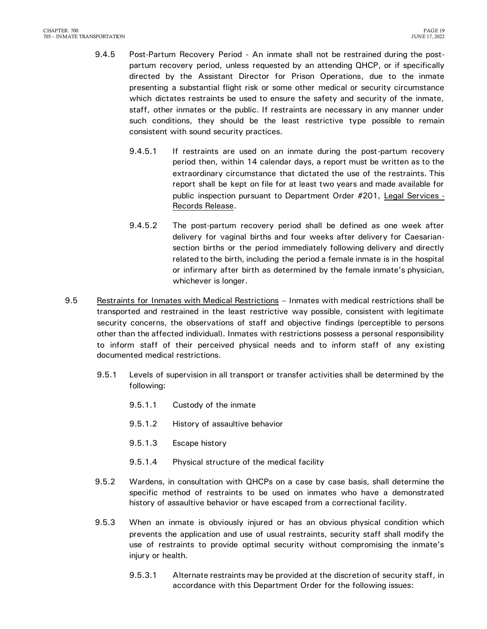- 9.4.5 Post-Partum Recovery Period An inmate shall not be restrained during the postpartum recovery period, unless requested by an attending QHCP, or if specifically directed by the Assistant Director for Prison Operations, due to the inmate presenting a substantial flight risk or some other medical or security circumstance which dictates restraints be used to ensure the safety and security of the inmate, staff, other inmates or the public. If restraints are necessary in any manner under such conditions, they should be the least restrictive type possible to remain consistent with sound security practices.
	- 9.4.5.1 If restraints are used on an inmate during the post-partum recovery period then, within 14 calendar days, a report must be written as to the extraordinary circumstance that dictated the use of the restraints. This report shall be kept on file for at least two years and made available for public inspection pursuant to Department Order #201, Legal Services - Records Release.
	- 9.4.5.2 The post-partum recovery period shall be defined as one week after delivery for vaginal births and four weeks after delivery for Caesariansection births or the period immediately following delivery and directly related to the birth, including the period a female inmate is in the hospital or infirmary after birth as determined by the female inmate's physician, whichever is longer.
- 9.5 Restraints for Inmates with Medical Restrictions Inmates with medical restrictions shall be transported and restrained in the least restrictive way possible, consistent with legitimate security concerns, the observations of staff and objective findings (perceptible to persons other than the affected individual). Inmates with restrictions possess a personal responsibility to inform staff of their perceived physical needs and to inform staff of any existing documented medical restrictions.
	- 9.5.1 Levels of supervision in all transport or transfer activities shall be determined by the following:
		- 9.5.1.1 Custody of the inmate
		- 9.5.1.2 History of assaultive behavior
		- 9.5.1.3 Escape history
		- 9.5.1.4 Physical structure of the medical facility
	- 9.5.2 Wardens, in consultation with QHCPs on a case by case basis, shall determine the specific method of restraints to be used on inmates who have a demonstrated history of assaultive behavior or have escaped from a correctional facility.
	- 9.5.3 When an inmate is obviously injured or has an obvious physical condition which prevents the application and use of usual restraints, security staff shall modify the use of restraints to provide optimal security without compromising the inmate's injury or health.
		- 9.5.3.1 Alternate restraints may be provided at the discretion of security staff, in accordance with this Department Order for the following issues: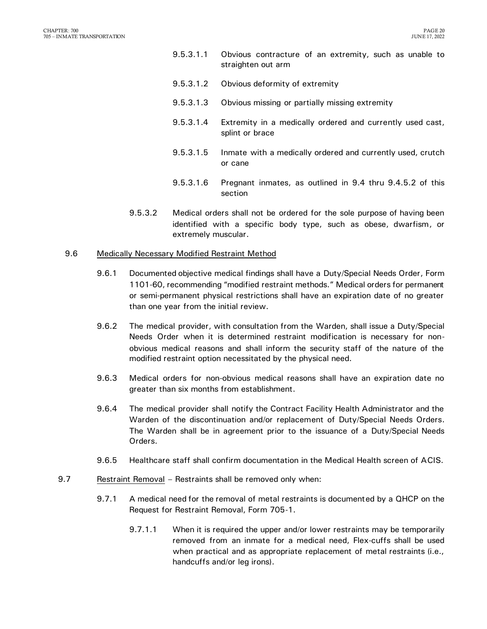- 9.5.3.1.1 Obvious contracture of an extremity, such as unable to straighten out arm
- 9.5.3.1.2 Obvious deformity of extremity
- 9.5.3.1.3 Obvious missing or partially missing extremity
- 9.5.3.1.4 Extremity in a medically ordered and currently used cast, splint or brace
- 9.5.3.1.5 Inmate with a medically ordered and currently used, crutch or cane
- 9.5.3.1.6 Pregnant inmates, as outlined in 9.4 thru 9.4.5.2 of this section
- 9.5.3.2 Medical orders shall not be ordered for the sole purpose of having been identified with a specific body type, such as obese, dwarfism, or extremely muscular.

#### 9.6 Medically Necessary Modified Restraint Method

- 9.6.1 Documented objective medical findings shall have a Duty/Special Needs Order, Form 1101-60, recommending "modified restraint methods." Medical orders for permanent or semi-permanent physical restrictions shall have an expiration date of no greater than one year from the initial review.
- 9.6.2 The medical provider, with consultation from the Warden, shall issue a Duty/Special Needs Order when it is determined restraint modification is necessary for nonobvious medical reasons and shall inform the security staff of the nature of the modified restraint option necessitated by the physical need.
- 9.6.3 Medical orders for non-obvious medical reasons shall have an expiration date no greater than six months from establishment.
- 9.6.4 The medical provider shall notify the Contract Facility Health Administrator and the Warden of the discontinuation and/or replacement of Duty/Special Needs Orders. The Warden shall be in agreement prior to the issuance of a Duty/Special Needs Orders.
- 9.6.5 Healthcare staff shall confirm documentation in the Medical Health screen of ACIS.
- 9.7 Restraint Removal Restraints shall be removed only when:
	- 9.7.1 A medical need for the removal of metal restraints is documented by a QHCP on the Request for Restraint Removal, Form 705-1.
		- 9.7.1.1 When it is required the upper and/or lower restraints may be temporarily removed from an inmate for a medical need, Flex-cuffs shall be used when practical and as appropriate replacement of metal restraints (i.e., handcuffs and/or leg irons).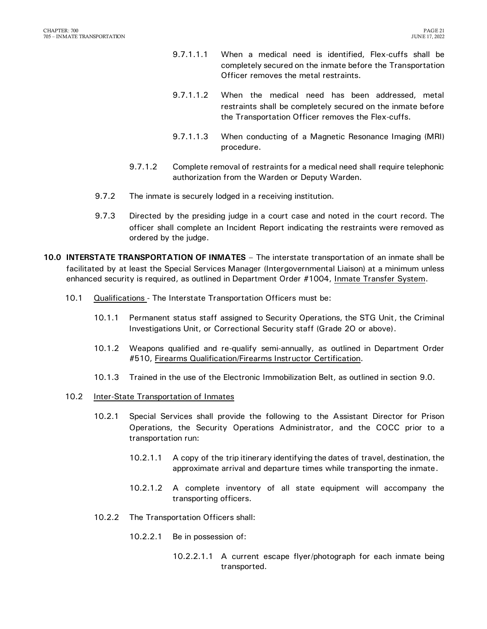- 9.7.1.1.1 When a medical need is identified, Flex-cuffs shall be completely secured on the inmate before the Transportation Officer removes the metal restraints.
- 9.7.1.1.2 When the medical need has been addressed, metal restraints shall be completely secured on the inmate before the Transportation Officer removes the Flex-cuffs.
- 9.7.1.1.3 When conducting of a Magnetic Resonance Imaging (MRI) procedure.
- 9.7.1.2 Complete removal of restraints for a medical need shall require telephonic authorization from the Warden or Deputy Warden.
- 9.7.2 The inmate is securely lodged in a receiving institution.
- 9.7.3 Directed by the presiding judge in a court case and noted in the court record. The officer shall complete an Incident Report indicating the restraints were removed as ordered by the judge.
- <span id="page-22-0"></span>**10.0 INTERSTATE TRANSPORTATION OF INMATES** – The interstate transportation of an inmate shall be facilitated by at least the Special Services Manager (Intergovernmental Liaison) at a minimum unless enhanced security is required, as outlined in Department Order #1004, Inmate Transfer System.
	- 10.1 Qualifications The Interstate Transportation Officers must be:
		- 10.1.1 Permanent status staff assigned to Security Operations, the STG Unit, the Criminal Investigations Unit, or Correctional Security staff (Grade 2O or above).
		- 10.1.2 Weapons qualified and re-qualify semi-annually, as outlined in Department Order #510, Firearms Qualification/Firearms Instructor Certification.
		- 10.1.3 Trained in the use of the Electronic Immobilization Belt, as outlined in section 9.0.
	- 10.2 Inter-State Transportation of Inmates
		- 10.2.1 Special Services shall provide the following to the Assistant Director for Prison Operations, the Security Operations Administrator, and the COCC prior to a transportation run:
			- 10.2.1.1 A copy of the trip itinerary identifying the dates of travel, destination, the approximate arrival and departure times while transporting the inmate.
			- 10.2.1.2 A complete inventory of all state equipment will accompany the transporting officers.
		- 10.2.2 The Transportation Officers shall:
			- 10.2.2.1 Be in possession of:
				- 10.2.2.1.1 A current escape flyer/photograph for each inmate being transported.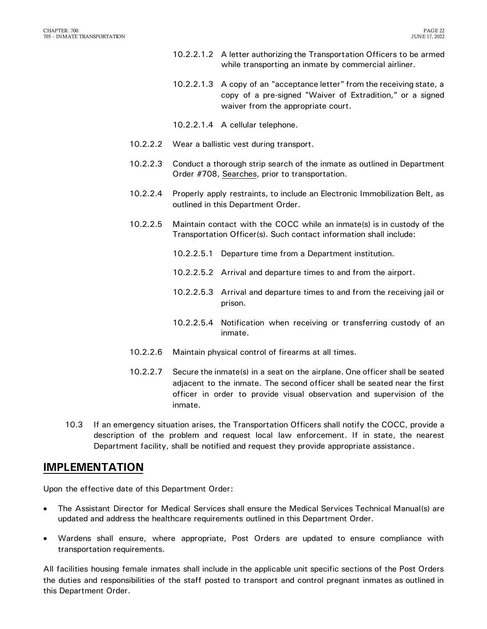- 10.2.2.1.2 A letter authorizing the Transportation Officers to be armed while transporting an inmate by commercial airliner.
- 10.2.2.1.3 A copy of an "acceptance letter" from the receiving state, a copy of a pre-signed "Waiver of Extradition," or a signed waiver from the appropriate court.
- 10.2.2.1.4 A cellular telephone.
- 10.2.2.2 Wear a ballistic vest during transport.
- 10.2.2.3 Conduct a thorough strip search of the inmate as outlined in Department Order #708, Searches, prior to transportation.
- 10.2.2.4 Properly apply restraints, to include an Electronic Immobilization Belt, as outlined in this Department Order.
- 10.2.2.5 Maintain contact with the COCC while an inmate(s) is in custody of the Transportation Officer(s). Such contact information shall include:
	- 10.2.2.5.1 Departure time from a Department institution.
	- 10.2.2.5.2 Arrival and departure times to and from the airport.
	- 10.2.2.5.3 Arrival and departure times to and from the receiving jail or prison.
	- 10.2.2.5.4 Notification when receiving or transferring custody of an inmate.
- 10.2.2.6 Maintain physical control of firearms at all times.
- 10.2.2.7 Secure the inmate(s) in a seat on the airplane. One officer shall be seated adjacent to the inmate. The second officer shall be seated near the first officer in order to provide visual observation and supervision of the inmate.
- 10.3 If an emergency situation arises, the Transportation Officers shall notify the COCC, provide a description of the problem and request local law enforcement. If in state, the nearest Department facility, shall be notified and request they provide appropriate assistance.

#### <span id="page-23-0"></span>**IMPLEMENTATION**

Upon the effective date of this Department Order:

- The Assistant Director for Medical Services shall ensure the Medical Services Technical Manual(s) are updated and address the healthcare requirements outlined in this Department Order.
- Wardens shall ensure, where appropriate, Post Orders are updated to ensure compliance with transportation requirements.

All facilities housing female inmates shall include in the applicable unit specific sections of the Post Orders the duties and responsibilities of the staff posted to transport and control pregnant inmates as outlined in this Department Order.